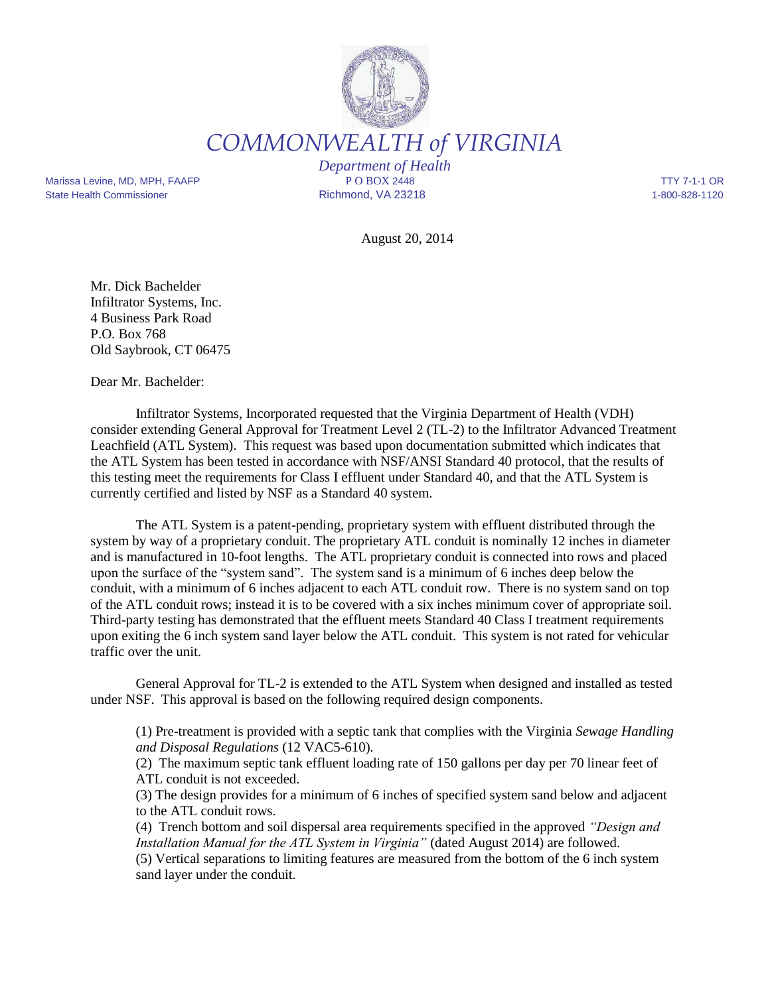

*COMMONWEALTH of VIRGINIA*

Marissa Levine, MD, MPH, FAAFP **P O BOX 2448** P O BOX 2448 TTY 7-1-1 OR State Health Commissioner **Richmond, VA 23218** 1-800-828-1120

*Department of Health*

August 20, 2014

Mr. Dick Bachelder Infiltrator Systems, Inc. 4 Business Park Road P.O. Box 768 Old Saybrook, CT 06475

Dear Mr. Bachelder:

Infiltrator Systems, Incorporated requested that the Virginia Department of Health (VDH) consider extending General Approval for Treatment Level 2 (TL-2) to the Infiltrator Advanced Treatment Leachfield (ATL System). This request was based upon documentation submitted which indicates that the ATL System has been tested in accordance with NSF/ANSI Standard 40 protocol, that the results of this testing meet the requirements for Class I effluent under Standard 40, and that the ATL System is currently certified and listed by NSF as a Standard 40 system.

The ATL System is a patent-pending, proprietary system with effluent distributed through the system by way of a proprietary conduit. The proprietary ATL conduit is nominally 12 inches in diameter and is manufactured in 10-foot lengths. The ATL proprietary conduit is connected into rows and placed upon the surface of the "system sand". The system sand is a minimum of 6 inches deep below the conduit, with a minimum of 6 inches adjacent to each ATL conduit row. There is no system sand on top of the ATL conduit rows; instead it is to be covered with a six inches minimum cover of appropriate soil. Third-party testing has demonstrated that the effluent meets Standard 40 Class I treatment requirements upon exiting the 6 inch system sand layer below the ATL conduit. This system is not rated for vehicular traffic over the unit.

General Approval for TL-2 is extended to the ATL System when designed and installed as tested under NSF. This approval is based on the following required design components.

(1) Pre-treatment is provided with a septic tank that complies with the Virginia *Sewage Handling and Disposal Regulations* (12 VAC5-610)*.* 

(2) The maximum septic tank effluent loading rate of 150 gallons per day per 70 linear feet of ATL conduit is not exceeded.

(3) The design provides for a minimum of 6 inches of specified system sand below and adjacent to the ATL conduit rows.

(4) Trench bottom and soil dispersal area requirements specified in the approved *"Design and Installation Manual for the ATL System in Virginia"* (dated August 2014) are followed.

(5) Vertical separations to limiting features are measured from the bottom of the 6 inch system sand layer under the conduit.